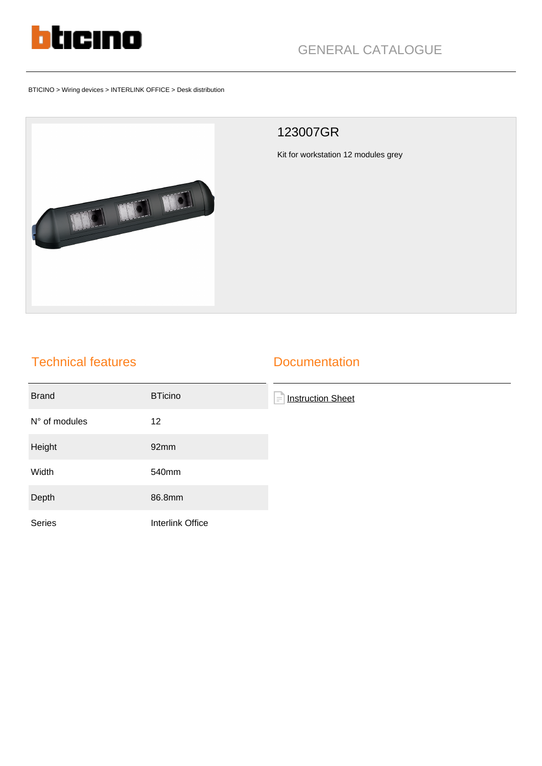

BTICINO > Wiring devices > INTERLINK OFFICE > Desk distribution



## 123007GR

Kit for workstation 12 modules grey

## Technical features

## **Documentation**

| <b>Brand</b>  | <b>BTicino</b>   | F<br><b>Instruction Sheet</b> |
|---------------|------------------|-------------------------------|
| N° of modules | 12               |                               |
| Height        | 92mm             |                               |
| Width         | 540mm            |                               |
| Depth         | 86.8mm           |                               |
| Series        | Interlink Office |                               |